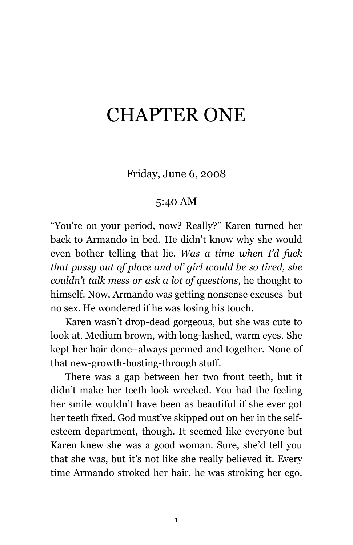# CHAPTER ONE

Friday, June 6, 2008

## 5:40 AM

"You're on your period, now? Really?" Karen turned her back to Armando in bed. He didn't know why she would even bother telling that lie. *Was a time when I'd fuck that pussy out of place and ol' girl would be so tired, she couldn't talk mess or ask a lot of questions*, he thought to himself. Now, Armando was getting nonsense excuses but no sex. He wondered if he was losing his touch.

Karen wasn't drop-dead gorgeous, but she was cute to look at. Medium brown, with long-lashed, warm eyes. She kept her hair done–always permed and together. None of that new-growth-busting-through stuff.

There was a gap between her two front teeth, but it didn't make her teeth look wrecked. You had the feeling her smile wouldn't have been as beautiful if she ever got her teeth fixed. God must've skipped out on her in the selfesteem department, though. It seemed like everyone but Karen knew she was a good woman. Sure, she'd tell you that she was, but it's not like she really believed it. Every time Armando stroked her hair, he was stroking her ego.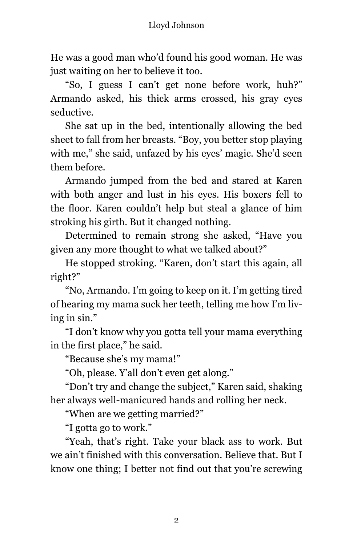He was a good man who'd found his good woman. He was just waiting on her to believe it too.

"So, I guess I can't get none before work, huh?" Armando asked, his thick arms crossed, his gray eyes seductive.

She sat up in the bed, intentionally allowing the bed sheet to fall from her breasts. "Boy, you better stop playing with me," she said, unfazed by his eyes' magic. She'd seen them before.

Armando jumped from the bed and stared at Karen with both anger and lust in his eyes. His boxers fell to the floor. Karen couldn't help but steal a glance of him stroking his girth. But it changed nothing.

Determined to remain strong she asked, "Have you given any more thought to what we talked about?"

He stopped stroking. "Karen, don't start this again, all right?"

"No, Armando. I'm going to keep on it. I'm getting tired of hearing my mama suck her teeth, telling me how I'm living in sin."

"I don't know why you gotta tell your mama everything in the first place," he said.

"Because she's my mama!"

"Oh, please. Y'all don't even get along."

"Don't try and change the subject," Karen said, shaking her always well-manicured hands and rolling her neck.

"When are we getting married?"

"I gotta go to work."

"Yeah, that's right. Take your black ass to work. But we ain't finished with this conversation. Believe that. But I know one thing; I better not find out that you're screwing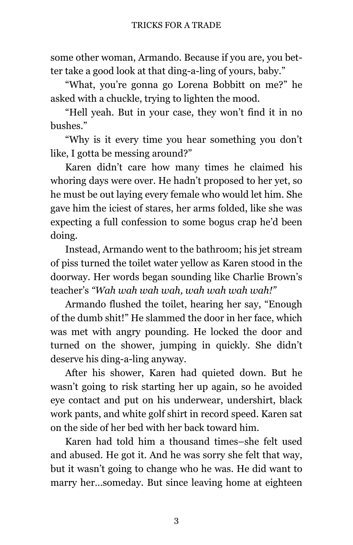some other woman, Armando. Because if you are, you better take a good look at that ding-a-ling of yours, baby."

"What, you're gonna go Lorena Bobbitt on me?" he asked with a chuckle, trying to lighten the mood.

"Hell yeah. But in your case, they won't find it in no bushes."

"Why is it every time you hear something you don't like, I gotta be messing around?"

Karen didn't care how many times he claimed his whoring days were over. He hadn't proposed to her yet, so he must be out laying every female who would let him. She gave him the iciest of stares, her arms folded, like she was expecting a full confession to some bogus crap he'd been doing.

Instead, Armando went to the bathroom; his jet stream of piss turned the toilet water yellow as Karen stood in the doorway. Her words began sounding like Charlie Brown's teacher's *"Wah wah wah wah, wah wah wah wah!"*

Armando flushed the toilet, hearing her say, "Enough of the dumb shit!" He slammed the door in her face, which was met with angry pounding. He locked the door and turned on the shower, jumping in quickly. She didn't deserve his ding-a-ling anyway.

After his shower, Karen had quieted down. But he wasn't going to risk starting her up again, so he avoided eye contact and put on his underwear, undershirt, black work pants, and white golf shirt in record speed. Karen sat on the side of her bed with her back toward him.

Karen had told him a thousand times–she felt used and abused. He got it. And he was sorry she felt that way, but it wasn't going to change who he was. He did want to marry her…someday. But since leaving home at eighteen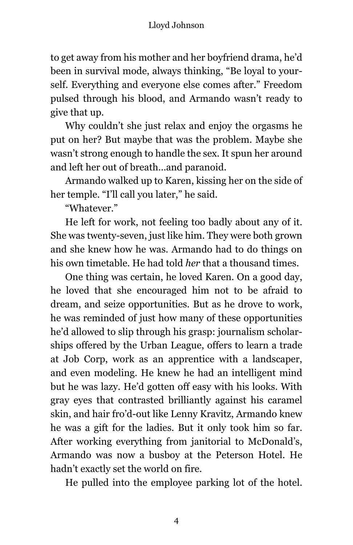### Lloyd Johnson

to get away from his mother and her boyfriend drama, he'd been in survival mode, always thinking, "Be loyal to yourself. Everything and everyone else comes after." Freedom pulsed through his blood, and Armando wasn't ready to give that up.

Why couldn't she just relax and enjoy the orgasms he put on her? But maybe that was the problem. Maybe she wasn't strong enough to handle the sex. It spun her around and left her out of breath…and paranoid.

Armando walked up to Karen, kissing her on the side of her temple. "I'll call you later," he said.

"Whatever."

He left for work, not feeling too badly about any of it. She was twenty-seven, just like him. They were both grown and she knew how he was. Armando had to do things on his own timetable. He had told *her* that a thousand times.

One thing was certain, he loved Karen. On a good day, he loved that she encouraged him not to be afraid to dream, and seize opportunities. But as he drove to work, he was reminded of just how many of these opportunities he'd allowed to slip through his grasp: journalism scholarships offered by the Urban League, offers to learn a trade at Job Corp, work as an apprentice with a landscaper, and even modeling. He knew he had an intelligent mind but he was lazy. He'd gotten off easy with his looks. With gray eyes that contrasted brilliantly against his caramel skin, and hair fro'd-out like Lenny Kravitz, Armando knew he was a gift for the ladies. But it only took him so far. After working everything from janitorial to McDonald's, Armando was now a busboy at the Peterson Hotel. He hadn't exactly set the world on fire.

He pulled into the employee parking lot of the hotel.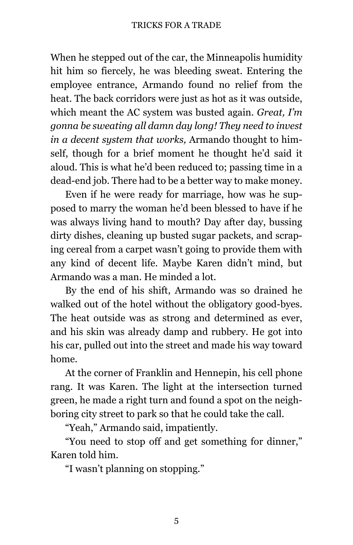When he stepped out of the car, the Minneapolis humidity hit him so fiercely, he was bleeding sweat. Entering the employee entrance, Armando found no relief from the heat. The back corridors were just as hot as it was outside, which meant the AC system was busted again. *Great, I'm gonna be sweating all damn day long! They need to invest in a decent system that works,* Armando thought to himself, though for a brief moment he thought he'd said it aloud. This is what he'd been reduced to; passing time in a dead-end job. There had to be a better way to make money.

Even if he were ready for marriage, how was he supposed to marry the woman he'd been blessed to have if he was always living hand to mouth? Day after day, bussing dirty dishes, cleaning up busted sugar packets, and scraping cereal from a carpet wasn't going to provide them with any kind of decent life. Maybe Karen didn't mind, but Armando was a man. He minded a lot.

By the end of his shift, Armando was so drained he walked out of the hotel without the obligatory good-byes. The heat outside was as strong and determined as ever, and his skin was already damp and rubbery. He got into his car, pulled out into the street and made his way toward home.

At the corner of Franklin and Hennepin, his cell phone rang. It was Karen. The light at the intersection turned green, he made a right turn and found a spot on the neighboring city street to park so that he could take the call.

"Yeah," Armando said, impatiently.

"You need to stop off and get something for dinner," Karen told him.

"I wasn't planning on stopping."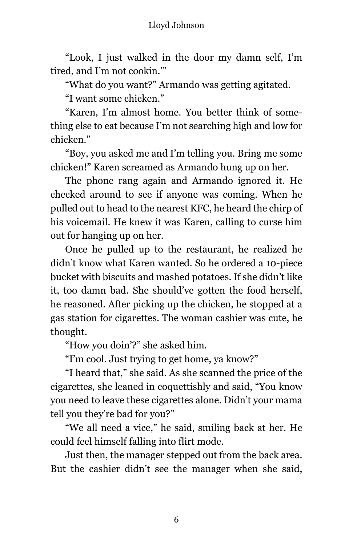#### Lloyd Johnson

"Look, I just walked in the door my damn self, I'm tired, and I'm not cookin.'"

"What do you want?" Armando was getting agitated.

"I want some chicken."

"Karen, I'm almost home. You better think of something else to eat because I'm not searching high and low for chicken."

"Boy, you asked me and I'm telling you. Bring me some chicken!" Karen screamed as Armando hung up on her.

The phone rang again and Armando ignored it. He checked around to see if anyone was coming. When he pulled out to head to the nearest KFC, he heard the chirp of his voicemail. He knew it was Karen, calling to curse him out for hanging up on her.

Once he pulled up to the restaurant, he realized he didn't know what Karen wanted. So he ordered a 10-piece bucket with biscuits and mashed potatoes. If she didn't like it, too damn bad. She should've gotten the food herself, he reasoned. After picking up the chicken, he stopped at a gas station for cigarettes. The woman cashier was cute, he thought.

"How you doin'?" she asked him.

"I'm cool. Just trying to get home, ya know?"

"I heard that," she said. As she scanned the price of the cigarettes, she leaned in coquettishly and said, "You know you need to leave these cigarettes alone. Didn't your mama tell you they're bad for you?"

"We all need a vice," he said, smiling back at her. He could feel himself falling into flirt mode.

Just then, the manager stepped out from the back area. But the cashier didn't see the manager when she said,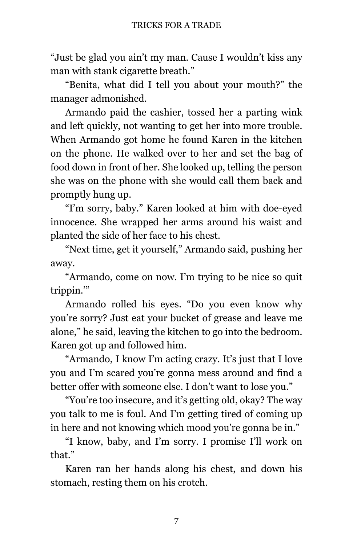"Just be glad you ain't my man. Cause I wouldn't kiss any man with stank cigarette breath."

"Benita, what did I tell you about your mouth?" the manager admonished.

Armando paid the cashier, tossed her a parting wink and left quickly, not wanting to get her into more trouble. When Armando got home he found Karen in the kitchen on the phone. He walked over to her and set the bag of food down in front of her. She looked up, telling the person she was on the phone with she would call them back and promptly hung up.

"I'm sorry, baby." Karen looked at him with doe-eyed innocence. She wrapped her arms around his waist and planted the side of her face to his chest.

"Next time, get it yourself," Armando said, pushing her away.

"Armando, come on now. I'm trying to be nice so quit trippin.'"

Armando rolled his eyes. "Do you even know why you're sorry? Just eat your bucket of grease and leave me alone," he said, leaving the kitchen to go into the bedroom. Karen got up and followed him.

"Armando, I know I'm acting crazy. It's just that I love you and I'm scared you're gonna mess around and find a better offer with someone else. I don't want to lose you."

"You're too insecure, and it's getting old, okay? The way you talk to me is foul. And I'm getting tired of coming up in here and not knowing which mood you're gonna be in."

"I know, baby, and I'm sorry. I promise I'll work on that."

Karen ran her hands along his chest, and down his stomach, resting them on his crotch.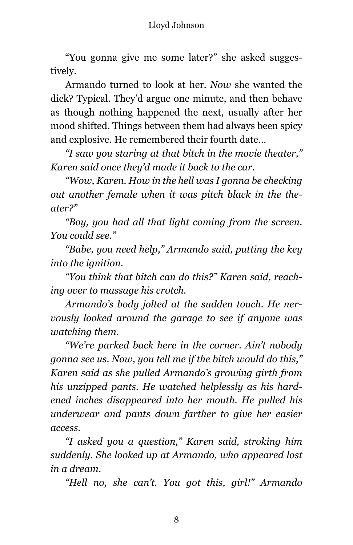"You gonna give me some later?" she asked suggestively.

Armando turned to look at her. *Now* she wanted the dick? Typical. They'd argue one minute, and then behave as though nothing happened the next, usually after her mood shifted. Things between them had always been spicy and explosive. He remembered their fourth date…

*"I saw you staring at that bitch in the movie theater," Karen said once they'd made it back to the car.*

*"Wow, Karen. How in the hell was I gonna be checking out another female when it was pitch black in the theater?"*

*"Boy, you had all that light coming from the screen. You could see."*

*"Babe, you need help," Armando said, putting the key into the ignition.*

*"You think that bitch can do this?" Karen said, reaching over to massage his crotch.*

*Armando's body jolted at the sudden touch. He nervously looked around the garage to see if anyone was watching them.*

*"We're parked back here in the corner. Ain't nobody gonna see us. Now, you tell me if the bitch would do this," Karen said as she pulled Armando's growing girth from his unzipped pants. He watched helplessly as his hardened inches disappeared into her mouth. He pulled his underwear and pants down farther to give her easier access.*

*"I asked you a question," Karen said, stroking him suddenly. She looked up at Armando, who appeared lost in a dream.*

*"Hell no, she can't. You got this, girl!" Armando*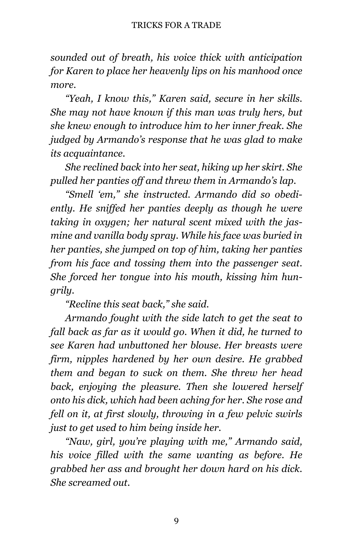*sounded out of breath, his voice thick with anticipation for Karen to place her heavenly lips on his manhood once more.*

*"Yeah, I know this," Karen said, secure in her skills. She may not have known if this man was truly hers, but she knew enough to introduce him to her inner freak. She judged by Armando's response that he was glad to make its acquaintance.*

*She reclined back into her seat, hiking up her skirt. She pulled her panties off and threw them in Armando's lap.*

*"Smell 'em," she instructed. Armando did so obediently. He sniffed her panties deeply as though he were taking in oxygen; her natural scent mixed with the jasmine and vanilla body spray. While his face was buried in her panties, she jumped on top of him, taking her panties from his face and tossing them into the passenger seat. She forced her tongue into his mouth, kissing him hungrily.*

*"Recline this seat back," she said.*

*Armando fought with the side latch to get the seat to fall back as far as it would go. When it did, he turned to see Karen had unbuttoned her blouse. Her breasts were firm, nipples hardened by her own desire. He grabbed them and began to suck on them. She threw her head back, enjoying the pleasure. Then she lowered herself onto his dick, which had been aching for her. She rose and fell on it, at first slowly, throwing in a few pelvic swirls just to get used to him being inside her.*

*"Naw, girl, you're playing with me," Armando said, his voice filled with the same wanting as before. He grabbed her ass and brought her down hard on his dick. She screamed out.*